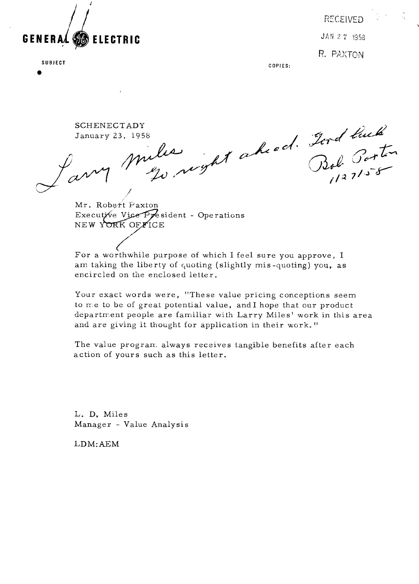

**SUBJECT** 

**RECEIVED** JAN 27 1958 R. PAXTON

**COPIES:** 

SCHENECTADY January **23,** 1958

 $\overline{\mathscr{A}}$ Lary /

Mr. Robert Paxton Executive Vice President - Operations NEW YORK OFFICE

For a worthwhile purpose of which I feel sure you approve, I am taking the liberty of quoting (slightly mis-quoting) you, as encircled on the enclosed letter.

Your exact words were, "These value pricing conceptions seem to *xre* to be of great potential value, and I hope that our product department people are familiar with Larry Miles' work in this area and are giving it thought for application in their work."

The value progran. always receives tangible benefits after each action of yours such as this letter.

L. D. Miles Manager - Value Analysis

LDM:AEM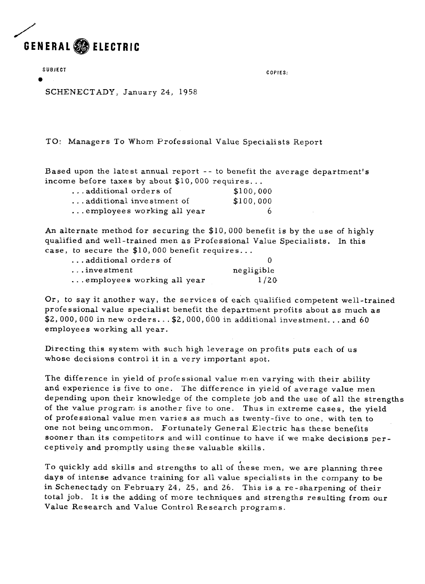

**SUBJECT** 

**a** 

**COPIES:** 

SCHENECTADY, January 24, 1958

TO: Managers To Whom Professional Value Specialists Report

Based upon the latest annual report -- to benefit the average department's income before taxes by about  $$10,000$  requires...

| additional orders of       | \$100,000 |
|----------------------------|-----------|
| additional investment of   | \$100,000 |
| employees working all year | -6        |

An alternate method for securing the \$10, 000 benefit is by the use of highly qualified and well-trained men as Professional Value Specialists. In this case, to secure the  $$10,000$  benefit requires...

| additional orders of       |            |
|----------------------------|------------|
| $\dots$ investment         | negligible |
| employees working all year | 1/20       |

Or, to say it another way, the services of each qualified competent well-trained professional value specialist benefit the department profits about as much as  $$2,000,000$  in new orders... $$2,000,000$  in additional investment...and 60 employees working all year.

Directing this system with such high leverage on profits puts each of us whose decisions control it in a very important spot.

The difference in yield of professional value men varying with their ability and experience is five to one. The difference in yield of average value men depending upon their knowledge of the complete job and the use of all the strengths of the value program is another five to one. Thus in extreme cases, the yield of professional value men varies as much as twenty-five to one, with ten to one not being uncommon. Fortunately General Electric has these benefits sooner than its competitors and will continue to have if we make decisions perceptively and promptly using these valuable skills.

< To quickly add skills and strengths to all of these men, we are planning three days of intense advance training for all value specialists in the company to be in Schenectady on February 24, 25, and 26. This is a re-sharpening of their total job. It is the adding of more techniques and strengths resulting from our Value Research and Value Control Re search programs.